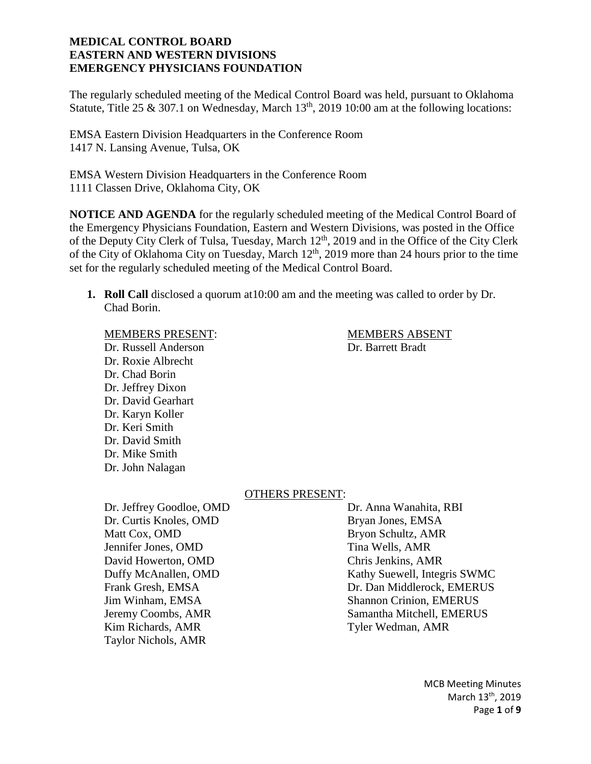The regularly scheduled meeting of the Medical Control Board was held, pursuant to Oklahoma Statute, Title 25 & 307.1 on Wednesday, March  $13<sup>th</sup>$ , 2019 10:00 am at the following locations:

EMSA Eastern Division Headquarters in the Conference Room 1417 N. Lansing Avenue, Tulsa, OK

EMSA Western Division Headquarters in the Conference Room 1111 Classen Drive, Oklahoma City, OK

**NOTICE AND AGENDA** for the regularly scheduled meeting of the Medical Control Board of the Emergency Physicians Foundation, Eastern and Western Divisions, was posted in the Office of the Deputy City Clerk of Tulsa, Tuesday, March 12<sup>th</sup>, 2019 and in the Office of the City Clerk of the City of Oklahoma City on Tuesday, March 12<sup>th</sup>, 2019 more than 24 hours prior to the time set for the regularly scheduled meeting of the Medical Control Board.

**1. Roll Call** disclosed a quorum at10:00 am and the meeting was called to order by Dr. Chad Borin.

#### MEMBERS PRESENT: MEMBERS ABSENT

Dr. Russell Anderson Dr. Barrett Bradt Dr. Roxie Albrecht Dr. Chad Borin Dr. Jeffrey Dixon Dr. David Gearhart Dr. Karyn Koller Dr. Keri Smith Dr. David Smith Dr. Mike Smith Dr. John Nalagan

#### OTHERS PRESENT:

Dr. Jeffrey Goodloe, OMD Dr. Anna Wanahita, RBI Dr. Curtis Knoles, OMD Bryan Jones, EMSA Matt Cox, OMD Bryon Schultz, AMR Jennifer Jones, OMD Tina Wells, AMR David Howerton, OMD Chris Jenkins, AMR Kim Richards, AMR Tyler Wedman, AMR Taylor Nichols, AMR

Duffy McAnallen, OMD Kathy Suewell, Integris SWMC Frank Gresh, EMSA **Dr. Dan Middlerock, EMERUS** Jim Winham, EMSA Shannon Crinion, EMERUS Jeremy Coombs, AMR Samantha Mitchell, EMERUS

> MCB Meeting Minutes March 13<sup>th</sup>, 2019 Page **1** of **9**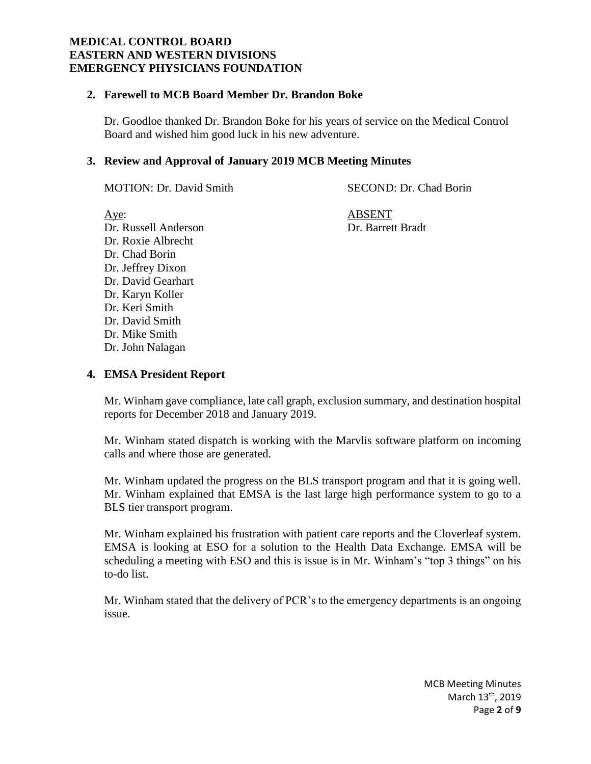#### **2. Farewell to MCB Board Member Dr. Brandon Boke**

Dr. Goodloe thanked Dr. Brandon Boke for his years of service on the Medical Control Board and wished him good luck in his new adventure.

# **3. Review and Approval of January 2019 MCB Meeting Minutes**

MOTION: Dr. David Smith SECOND: Dr. Chad Borin

Aye: ABSENT Dr. Russell Anderson Dr. Barrett Bradt Dr. Roxie Albrecht Dr. Chad Borin Dr. Jeffrey Dixon Dr. David Gearhart Dr. Karyn Koller Dr. Keri Smith Dr. David Smith Dr. Mike Smith Dr. John Nalagan

# **4. EMSA President Report**

Mr. Winham gave compliance, late call graph, exclusion summary, and destination hospital reports for December 2018 and January 2019.

Mr. Winham stated dispatch is working with the Marvlis software platform on incoming calls and where those are generated.

Mr. Winham updated the progress on the BLS transport program and that it is going well. Mr. Winham explained that EMSA is the last large high performance system to go to a BLS tier transport program.

Mr. Winham explained his frustration with patient care reports and the Cloverleaf system. EMSA is looking at ESO for a solution to the Health Data Exchange. EMSA will be scheduling a meeting with ESO and this is issue is in Mr. Winham's "top 3 things" on his to-do list.

Mr. Winham stated that the delivery of PCR's to the emergency departments is an ongoing issue.

> MCB Meeting Minutes March 13<sup>th</sup>, 2019 Page **2** of **9**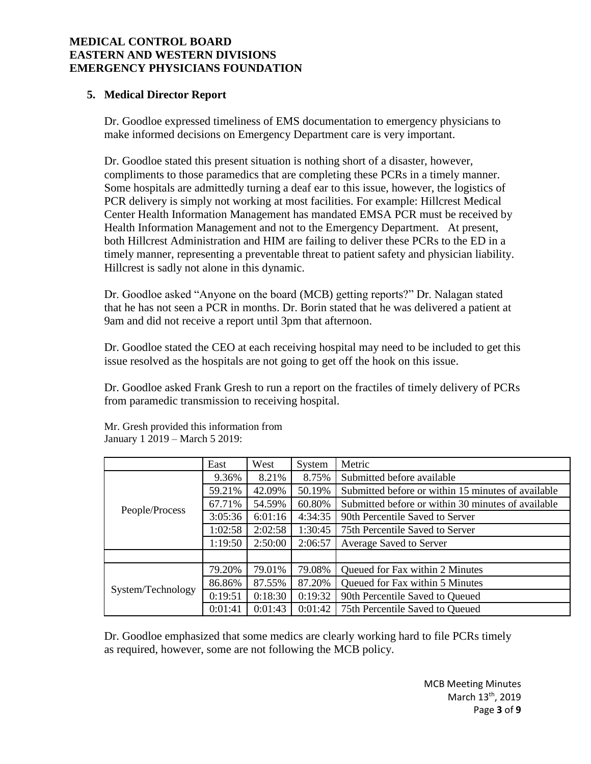# **5. Medical Director Report**

Dr. Goodloe expressed timeliness of EMS documentation to emergency physicians to make informed decisions on Emergency Department care is very important.

Dr. Goodloe stated this present situation is nothing short of a disaster, however, compliments to those paramedics that are completing these PCRs in a timely manner. Some hospitals are admittedly turning a deaf ear to this issue, however, the logistics of PCR delivery is simply not working at most facilities. For example: Hillcrest Medical Center Health Information Management has mandated EMSA PCR must be received by Health Information Management and not to the Emergency Department. At present, both Hillcrest Administration and HIM are failing to deliver these PCRs to the ED in a timely manner, representing a preventable threat to patient safety and physician liability. Hillcrest is sadly not alone in this dynamic.

Dr. Goodloe asked "Anyone on the board (MCB) getting reports?" Dr. Nalagan stated that he has not seen a PCR in months. Dr. Borin stated that he was delivered a patient at 9am and did not receive a report until 3pm that afternoon.

Dr. Goodloe stated the CEO at each receiving hospital may need to be included to get this issue resolved as the hospitals are not going to get off the hook on this issue.

Dr. Goodloe asked Frank Gresh to run a report on the fractiles of timely delivery of PCRs from paramedic transmission to receiving hospital.

|                   | East    | West    | System  | Metric                                             |
|-------------------|---------|---------|---------|----------------------------------------------------|
| People/Process    | 9.36%   | 8.21%   | 8.75%   | Submitted before available                         |
|                   | 59.21%  | 42.09%  | 50.19%  | Submitted before or within 15 minutes of available |
|                   | 67.71%  | 54.59%  | 60.80%  | Submitted before or within 30 minutes of available |
|                   | 3:05:36 | 6:01:16 | 4:34:35 | 90th Percentile Saved to Server                    |
|                   | 1:02:58 | 2:02:58 | 1:30:45 | 75th Percentile Saved to Server                    |
|                   | 1:19:50 | 2:50:00 | 2:06:57 | Average Saved to Server                            |
|                   |         |         |         |                                                    |
| System/Technology | 79.20%  | 79.01%  | 79.08%  | Queued for Fax within 2 Minutes                    |
|                   | 86.86%  | 87.55%  | 87.20%  | Queued for Fax within 5 Minutes                    |
|                   | 0:19:51 | 0:18:30 | 0:19:32 | 90th Percentile Saved to Queued                    |
|                   | 0:01:41 | 0:01:43 | 0:01:42 | 75th Percentile Saved to Queued                    |

Mr. Gresh provided this information from January 1 2019 – March 5 2019:

Dr. Goodloe emphasized that some medics are clearly working hard to file PCRs timely as required, however, some are not following the MCB policy.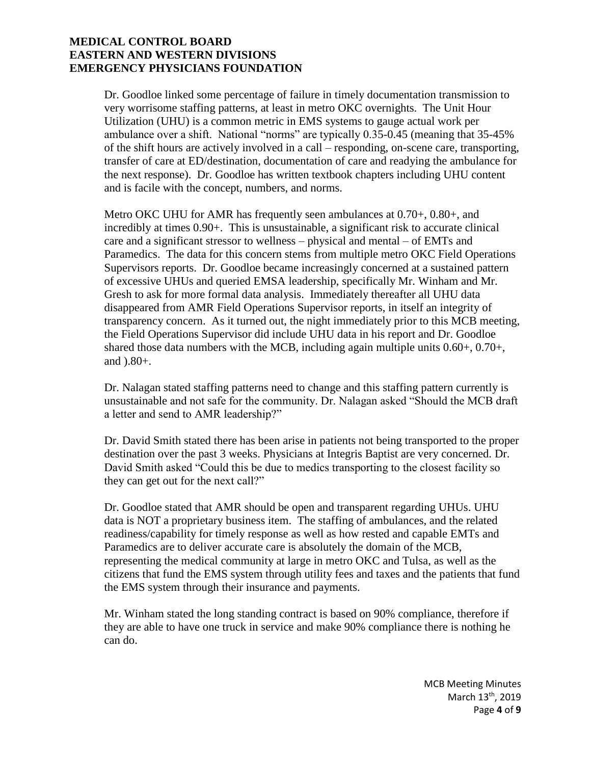Dr. Goodloe linked some percentage of failure in timely documentation transmission to very worrisome staffing patterns, at least in metro OKC overnights. The Unit Hour Utilization (UHU) is a common metric in EMS systems to gauge actual work per ambulance over a shift. National "norms" are typically 0.35-0.45 (meaning that 35-45% of the shift hours are actively involved in a call – responding, on-scene care, transporting, transfer of care at ED/destination, documentation of care and readying the ambulance for the next response). Dr. Goodloe has written textbook chapters including UHU content and is facile with the concept, numbers, and norms.

Metro OKC UHU for AMR has frequently seen ambulances at 0.70+, 0.80+, and incredibly at times 0.90+. This is unsustainable, a significant risk to accurate clinical care and a significant stressor to wellness – physical and mental – of EMTs and Paramedics. The data for this concern stems from multiple metro OKC Field Operations Supervisors reports. Dr. Goodloe became increasingly concerned at a sustained pattern of excessive UHUs and queried EMSA leadership, specifically Mr. Winham and Mr. Gresh to ask for more formal data analysis. Immediately thereafter all UHU data disappeared from AMR Field Operations Supervisor reports, in itself an integrity of transparency concern. As it turned out, the night immediately prior to this MCB meeting, the Field Operations Supervisor did include UHU data in his report and Dr. Goodloe shared those data numbers with the MCB, including again multiple units 0.60+, 0.70+, and ).80+.

Dr. Nalagan stated staffing patterns need to change and this staffing pattern currently is unsustainable and not safe for the community. Dr. Nalagan asked "Should the MCB draft a letter and send to AMR leadership?"

Dr. David Smith stated there has been arise in patients not being transported to the proper destination over the past 3 weeks. Physicians at Integris Baptist are very concerned. Dr. David Smith asked "Could this be due to medics transporting to the closest facility so they can get out for the next call?"

Dr. Goodloe stated that AMR should be open and transparent regarding UHUs. UHU data is NOT a proprietary business item. The staffing of ambulances, and the related readiness/capability for timely response as well as how rested and capable EMTs and Paramedics are to deliver accurate care is absolutely the domain of the MCB, representing the medical community at large in metro OKC and Tulsa, as well as the citizens that fund the EMS system through utility fees and taxes and the patients that fund the EMS system through their insurance and payments.

Mr. Winham stated the long standing contract is based on 90% compliance, therefore if they are able to have one truck in service and make 90% compliance there is nothing he can do.

> MCB Meeting Minutes March 13<sup>th</sup>, 2019 Page **4** of **9**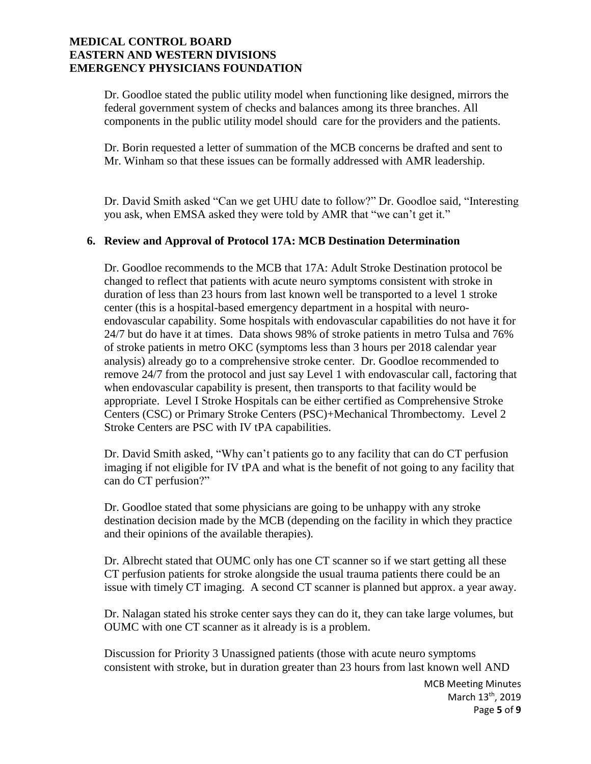Dr. Goodloe stated the public utility model when functioning like designed, mirrors the federal government system of checks and balances among its three branches. All components in the public utility model should care for the providers and the patients.

Dr. Borin requested a letter of summation of the MCB concerns be drafted and sent to Mr. Winham so that these issues can be formally addressed with AMR leadership.

Dr. David Smith asked "Can we get UHU date to follow?" Dr. Goodloe said, "Interesting you ask, when EMSA asked they were told by AMR that "we can't get it."

# **6. Review and Approval of Protocol 17A: MCB Destination Determination**

Dr. Goodloe recommends to the MCB that 17A: Adult Stroke Destination protocol be changed to reflect that patients with acute neuro symptoms consistent with stroke in duration of less than 23 hours from last known well be transported to a level 1 stroke center (this is a hospital-based emergency department in a hospital with neuroendovascular capability. Some hospitals with endovascular capabilities do not have it for 24/7 but do have it at times. Data shows 98% of stroke patients in metro Tulsa and 76% of stroke patients in metro OKC (symptoms less than 3 hours per 2018 calendar year analysis) already go to a comprehensive stroke center. Dr. Goodloe recommended to remove 24/7 from the protocol and just say Level 1 with endovascular call, factoring that when endovascular capability is present, then transports to that facility would be appropriate. Level I Stroke Hospitals can be either certified as Comprehensive Stroke Centers (CSC) or Primary Stroke Centers (PSC)+Mechanical Thrombectomy. Level 2 Stroke Centers are PSC with IV tPA capabilities.

Dr. David Smith asked, "Why can't patients go to any facility that can do CT perfusion imaging if not eligible for IV tPA and what is the benefit of not going to any facility that can do CT perfusion?"

Dr. Goodloe stated that some physicians are going to be unhappy with any stroke destination decision made by the MCB (depending on the facility in which they practice and their opinions of the available therapies).

Dr. Albrecht stated that OUMC only has one CT scanner so if we start getting all these CT perfusion patients for stroke alongside the usual trauma patients there could be an issue with timely CT imaging. A second CT scanner is planned but approx. a year away.

Dr. Nalagan stated his stroke center says they can do it, they can take large volumes, but OUMC with one CT scanner as it already is is a problem.

Discussion for Priority 3 Unassigned patients (those with acute neuro symptoms consistent with stroke, but in duration greater than 23 hours from last known well AND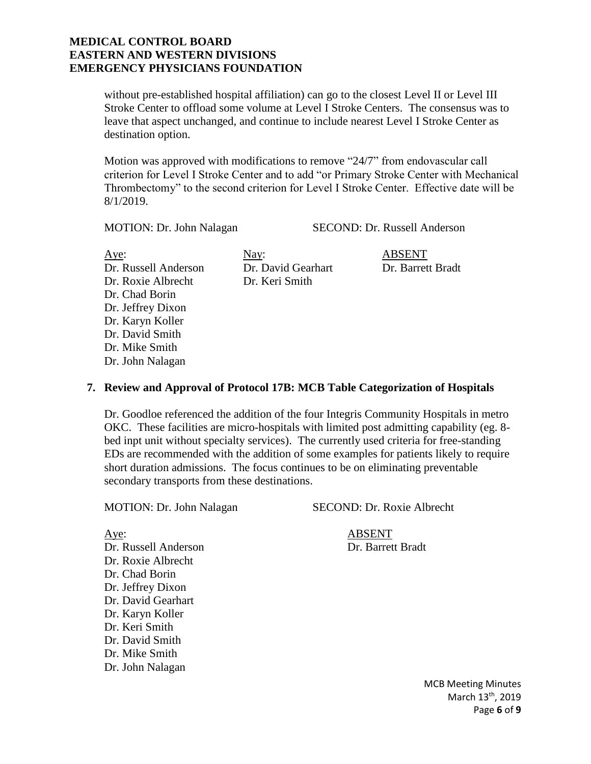without pre-established hospital affiliation) can go to the closest Level II or Level III Stroke Center to offload some volume at Level I Stroke Centers. The consensus was to leave that aspect unchanged, and continue to include nearest Level I Stroke Center as destination option.

Motion was approved with modifications to remove "24/7" from endovascular call criterion for Level I Stroke Center and to add "or Primary Stroke Center with Mechanical Thrombectomy" to the second criterion for Level I Stroke Center. Effective date will be 8/1/2019.

MOTION: Dr. John Nalagan SECOND: Dr. Russell Anderson

Aye: Nay: Nay: ABSENT Dr. Russell Anderson Dr. David Gearhart Dr. Barrett Bradt Dr. Roxie Albrecht Dr. Keri Smith Dr. Chad Borin Dr. Jeffrey Dixon Dr. Karyn Koller Dr. David Smith Dr. Mike Smith Dr. John Nalagan

#### **7. Review and Approval of Protocol 17B: MCB Table Categorization of Hospitals**

Dr. Goodloe referenced the addition of the four Integris Community Hospitals in metro OKC. These facilities are micro-hospitals with limited post admitting capability (eg. 8 bed inpt unit without specialty services). The currently used criteria for free-standing EDs are recommended with the addition of some examples for patients likely to require short duration admissions. The focus continues to be on eliminating preventable secondary transports from these destinations.

MOTION: Dr. John Nalagan SECOND: Dr. Roxie Albrecht

Aye: ABSENT

Dr. Russell Anderson Dr. Barrett Bradt Dr. Roxie Albrecht Dr. Chad Borin Dr. Jeffrey Dixon Dr. David Gearhart Dr. Karyn Koller Dr. Keri Smith Dr. David Smith Dr. Mike Smith Dr. John Nalagan

> MCB Meeting Minutes March 13<sup>th</sup>, 2019 Page **6** of **9**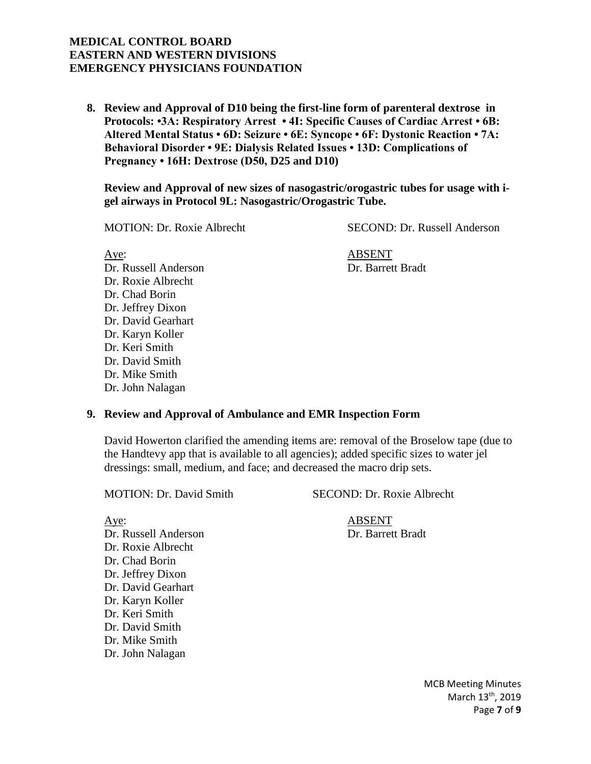**8. Review and Approval of D10 being the first-line form of parenteral dextrose in Protocols: •3A: Respiratory Arrest • 4I: Specific Causes of Cardiac Arrest • 6B: Altered Mental Status • 6D: Seizure • 6E: Syncope • 6F: Dystonic Reaction • 7A: Behavioral Disorder • 9E: Dialysis Related Issues • 13D: Complications of Pregnancy • 16H: Dextrose (D50, D25 and D10)**

**Review and Approval of new sizes of nasogastric/orogastric tubes for usage with igel airways in Protocol 9L: Nasogastric/Orogastric Tube.**

MOTION: Dr. Roxie Albrecht SECOND: Dr. Russell Anderson

Aye: ABSENT Dr. Russell Anderson Dr. Barrett Bradt Dr. Roxie Albrecht Dr. Chad Borin Dr. Jeffrey Dixon Dr. David Gearhart Dr. Karyn Koller Dr. Keri Smith Dr. David Smith Dr. Mike Smith Dr. John Nalagan

#### **9. Review and Approval of Ambulance and EMR Inspection Form**

David Howerton clarified the amending items are: removal of the Broselow tape (due to the Handtevy app that is available to all agencies); added specific sizes to water jel dressings: small, medium, and face; and decreased the macro drip sets.

MOTION: Dr. David Smith SECOND: Dr. Roxie Albrecht

Aye: ABSENT Dr. Russell Anderson Dr. Barrett Bradt Dr. Roxie Albrecht Dr. Chad Borin Dr. Jeffrey Dixon Dr. David Gearhart Dr. Karyn Koller Dr. Keri Smith Dr. David Smith Dr. Mike Smith Dr. John Nalagan

> MCB Meeting Minutes March 13<sup>th</sup>, 2019 Page **7** of **9**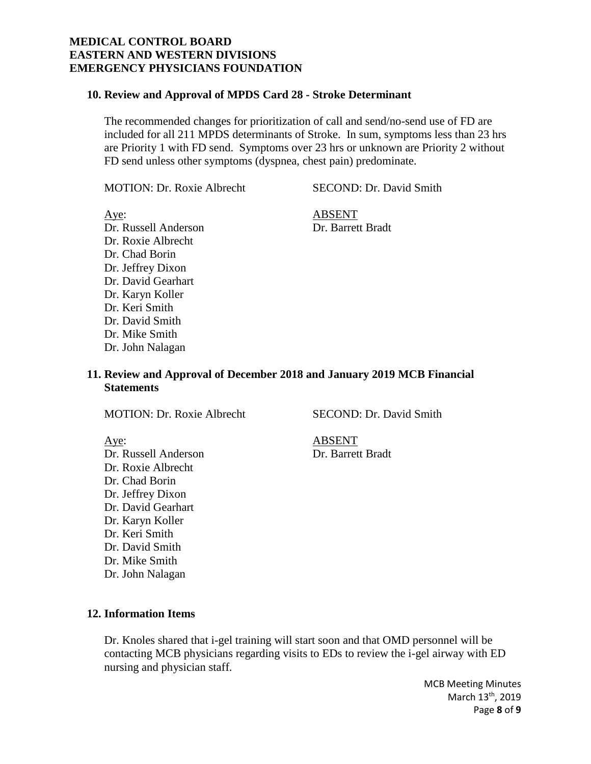#### **10. Review and Approval of MPDS Card 28 - Stroke Determinant**

The recommended changes for prioritization of call and send/no-send use of FD are included for all 211 MPDS determinants of Stroke. In sum, symptoms less than 23 hrs are Priority 1 with FD send. Symptoms over 23 hrs or unknown are Priority 2 without FD send unless other symptoms (dyspnea, chest pain) predominate.

MOTION: Dr. Roxie Albrecht SECOND: Dr. David Smith

Aye: ABSENT Dr. Russell Anderson Dr. Barrett Bradt Dr. Roxie Albrecht Dr. Chad Borin Dr. Jeffrey Dixon Dr. David Gearhart Dr. Karyn Koller Dr. Keri Smith Dr. David Smith Dr. Mike Smith Dr. John Nalagan

**11. Review and Approval of December 2018 and January 2019 MCB Financial Statements**

MOTION: Dr. Roxie Albrecht SECOND: Dr. David Smith

Dr. Russell Anderson Dr. Barrett Bradt Dr. Roxie Albrecht Dr. Chad Borin Dr. Jeffrey Dixon Dr. David Gearhart Dr. Karyn Koller Dr. Keri Smith Dr. David Smith Dr. Mike Smith Dr. John Nalagan

Aye: ABSENT

**12. Information Items**

Dr. Knoles shared that i-gel training will start soon and that OMD personnel will be contacting MCB physicians regarding visits to EDs to review the i-gel airway with ED nursing and physician staff.

> MCB Meeting Minutes March 13<sup>th</sup>, 2019 Page **8** of **9**